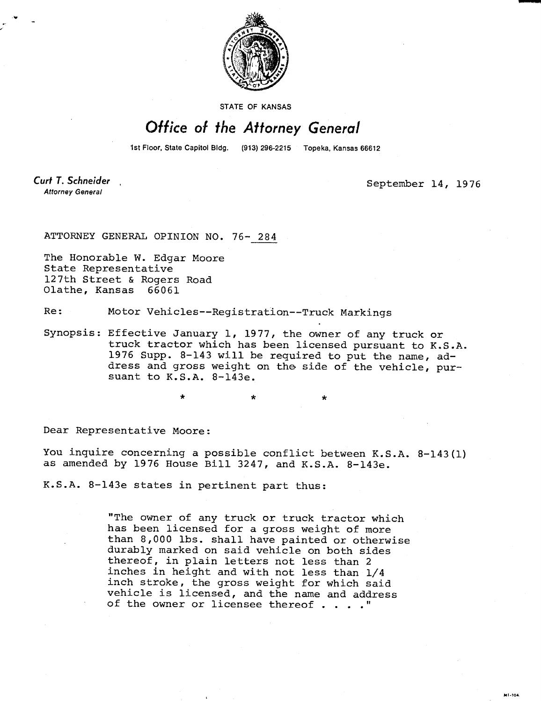

STATE OF KANSAS

## Office of the Attorney General

1st Floor, State Capitol Bldg.

(913) 296-2215 Topeka, Kansas 66612

Curt T. Schneider **Attorney General** 

September 14, 1976

**MT-104** 

ATTORNEY GENERAL OPINION NO. 76- 284

The Honorable W. Edgar Moore State Representative 127th Street & Rogers Road Olathe, Kansas 66061

Re: Motor Vehicles--Registration--Truck Markings

Synopsis: Effective January 1, 1977, the owner of any truck or truck tractor which has been licensed pursuant to K.S.A. 1976 Supp. 8-143 will be required to put the name, address and gross weight on the side of the vehicle, pursuant to K.S.A. 8-143e.

Dear Representative Moore:

You inquire concerning a possible conflict between K.S.A. 8-143(1) as amended by 1976 House Bill 3247, and K.S.A. 8-143e.

K.S.A. 8-143e states in pertinent part thus:

"The owner of any truck or truck tractor which has been licensed for a gross weight of more than 8,000 lbs. shall have painted or otherwise durably marked on said vehicle on both sides thereof, in plain letters not less than 2 inches in height and with not less than 1/4 inch stroke, the gross weight for which said vehicle is licensed, and the name and address of the owner or licensee thereof . . . ."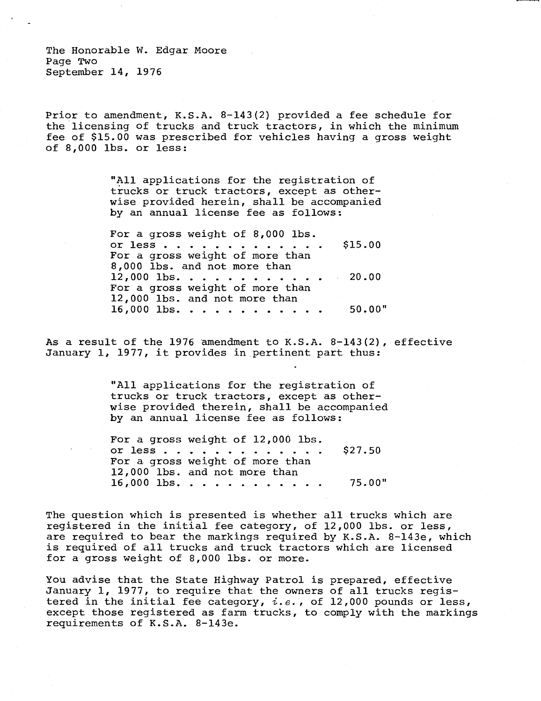The Honorable W. Edgar Moore Page Two September 14, 1976

Prior to amendment, K.S.A. 8-143(2) provided a fee schedule for the licensing of trucks and truck tractors, in which the minimum fee of \$15.00 was prescribed for vehicles having a gross weight of 8,000 lbs. or less:

> "All applications for the registration of trucks or truck tractors, except as otherwise provided herein, shall be accompanied by an annual license fee as follows:

For a gross weight of 8,000 lbs. or less  $\ldots$   $\ldots$   $\ldots$   $\ldots$   $\sharp$ 15.00 For a gross weight of more than 8,000 lbs. and not more than  $12,000$  lbs. . . . . . . . . . . 20.00 For a gross weight of more than 12,000 lbs. and not more than  $16,000$  lbs. . . . . . . . . . . 50.00"

As a result of the 1976 amendment to K.S.A. 8-143(2), effective January 1, 1977, it provides in pertinent part thus:

> "All applications for the registration of trucks or truck tractors, except as otherwise provided therein, shall be accompanied by an annual license fee as follows:

> For a gross weight of 12,000 lbs or less  $\ldots$   $\ldots$   $\ldots$   $\ddots$   $\ddot{5}27.50$ For a gross weight of more than 12,000 lbs. and not more than  $16,000$  lbs. . . . . . . . . . . . 75.00"

The question which is presented is whether all trucks which are registered in the initial fee category, of 12,000 lbs. or less, are required to bear the markings required by K.S.A. 8-143e, which is required of all trucks and truck tractors which are licensed for a gross weight of 8,000 lbs. or more.

You advise that the State Highway Patrol is prepared, effective January 1, 1977, to require that the owners of all trucks registered in the initial fee category,  $i.e.,$  of 12,000 pounds or less, except those registered as farm trucks, to comply with the markings requirements of K.S.A. 8-143e.